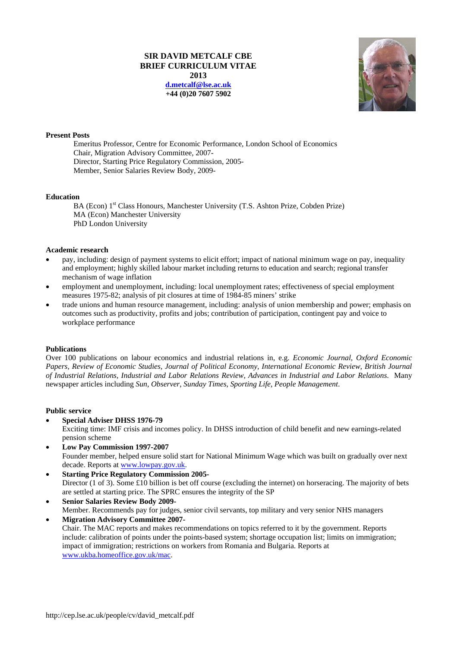## **SIR DAVID METCALF CBE BRIEF CURRICULUM VITAE 2013 d.metcalf@lse.ac.uk +44 (0)20 7607 5902**



# **Present Posts**

 Emeritus Professor, Centre for Economic Performance, London School of Economics Chair, Migration Advisory Committee, 2007- Director, Starting Price Regulatory Commission, 2005- Member, Senior Salaries Review Body, 2009-

### **Education**

BA (Econ) 1<sup>st</sup> Class Honours, Manchester University (T.S. Ashton Prize, Cobden Prize) MA (Econ) Manchester University PhD London University

### **Academic research**

- pay, including: design of payment systems to elicit effort; impact of national minimum wage on pay, inequality and employment; highly skilled labour market including returns to education and search; regional transfer mechanism of wage inflation
- employment and unemployment, including: local unemployment rates; effectiveness of special employment measures 1975-82; analysis of pit closures at time of 1984-85 miners' strike
- trade unions and human resource management, including: analysis of union membership and power; emphasis on outcomes such as productivity, profits and jobs; contribution of participation, contingent pay and voice to workplace performance

### **Publications**

Over 100 publications on labour economics and industrial relations in, e.g. *Economic Journal, Oxford Economic Papers, Review of Economic Studies, Journal of Political Economy, International Economic Review, British Journal of Industrial Relations, Industrial and Labor Relations Review, Advances in Industrial and Labor Relations*. Many newspaper articles including *Sun*, *Observer*, *Sunday Times*, *Sporting Life*, *People Management*.

### **Public service**

**Special Adviser DHSS 1976-79** 

Exciting time: IMF crisis and incomes policy. In DHSS introduction of child benefit and new earnings-related pension scheme

- **Low Pay Commission 1997-2007**  Founder member, helped ensure solid start for National Minimum Wage which was built on gradually over next decade. Reports at www.lowpay.gov.uk.
- **Starting Price Regulatory Commission 2005-**  Director (1 of 3). Some £10 billion is bet off course (excluding the internet) on horseracing. The majority of bets are settled at starting price. The SPRC ensures the integrity of the SP
- **Senior Salaries Review Body 2009-**  Member. Recommends pay for judges, senior civil servants, top military and very senior NHS managers **Migration Advisory Committee 2007-**

Chair. The MAC reports and makes recommendations on topics referred to it by the government. Reports include: calibration of points under the points-based system; shortage occupation list; limits on immigration; impact of immigration; restrictions on workers from Romania and Bulgaria. Reports at www.ukba.homeoffice.gov.uk/mac.